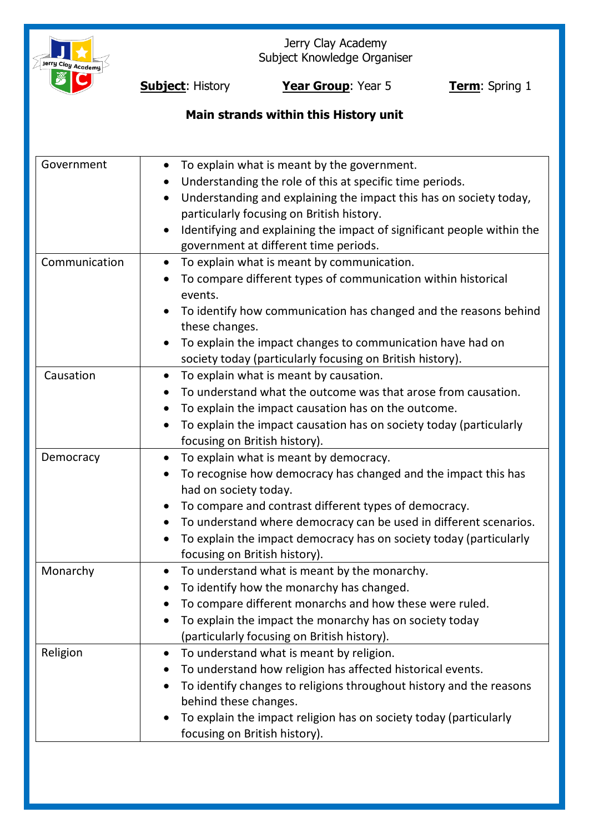

Jerry Clay Academy Subject Knowledge Organiser

**Subject:** History **Year Group**: Year 5 **Term**: Spring 1

## **Main strands within this History unit**

| Government    | To explain what is meant by the government.<br>Understanding the role of this at specific time periods.<br>Understanding and explaining the impact this has on society today,<br>particularly focusing on British history.<br>Identifying and explaining the impact of significant people within the<br>government at different time periods.                                                    |
|---------------|--------------------------------------------------------------------------------------------------------------------------------------------------------------------------------------------------------------------------------------------------------------------------------------------------------------------------------------------------------------------------------------------------|
| Communication | To explain what is meant by communication.<br>$\bullet$<br>To compare different types of communication within historical<br>events.<br>To identify how communication has changed and the reasons behind<br>these changes.<br>To explain the impact changes to communication have had on<br>society today (particularly focusing on British history).                                             |
| Causation     | To explain what is meant by causation.<br>$\bullet$<br>To understand what the outcome was that arose from causation.<br>To explain the impact causation has on the outcome.<br>To explain the impact causation has on society today (particularly<br>focusing on British history).                                                                                                               |
| Democracy     | To explain what is meant by democracy.<br>$\bullet$<br>To recognise how democracy has changed and the impact this has<br>had on society today.<br>To compare and contrast different types of democracy.<br>To understand where democracy can be used in different scenarios.<br>$\bullet$<br>To explain the impact democracy has on society today (particularly<br>focusing on British history). |
| Monarchy      | To understand what is meant by the monarchy.<br>$\bullet$<br>To identify how the monarchy has changed.<br>To compare different monarchs and how these were ruled.<br>To explain the impact the monarchy has on society today<br>(particularly focusing on British history).                                                                                                                      |
| Religion      | To understand what is meant by religion.<br>$\bullet$<br>To understand how religion has affected historical events.<br>To identify changes to religions throughout history and the reasons<br>behind these changes.<br>To explain the impact religion has on society today (particularly<br>focusing on British history).                                                                        |